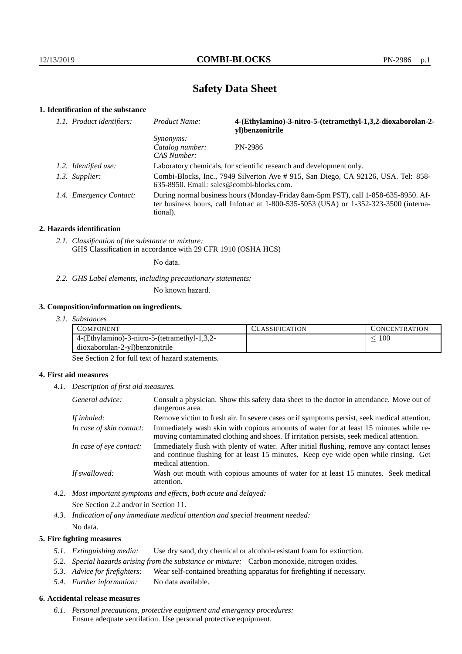# **Safety Data Sheet**

## **1. Identification of the substance**

| 1.1. Product identifiers: | <b>Product Name:</b>                                                                                                                                                                    | 4-(Ethylamino)-3-nitro-5-(tetramethyl-1,3,2-dioxaborolan-2-<br>yl)benzonitrile |
|---------------------------|-----------------------------------------------------------------------------------------------------------------------------------------------------------------------------------------|--------------------------------------------------------------------------------|
|                           | <i>Synonyms:</i><br>Catalog number:<br>CAS Number:                                                                                                                                      | PN-2986                                                                        |
| 1.2. Identified use:      | Laboratory chemicals, for scientific research and development only.                                                                                                                     |                                                                                |
| 1.3. Supplier:            | Combi-Blocks, Inc., 7949 Silverton Ave # 915, San Diego, CA 92126, USA. Tel: 858-<br>635-8950. Email: sales@combi-blocks.com.                                                           |                                                                                |
| 1.4. Emergency Contact:   | During normal business hours (Monday-Friday 8am-5pm PST), call 1-858-635-8950. Af-<br>ter business hours, call Infotrac at 1-800-535-5053 (USA) or 1-352-323-3500 (interna-<br>tional). |                                                                                |

#### **2. Hazards identification**

*2.1. Classification of the substance or mixture:* GHS Classification in accordance with 29 CFR 1910 (OSHA HCS)

No data.

## *2.2. GHS Label elements, including precautionary statements:*

No known hazard.

#### **3. Composition/information on ingredients.**

*3.1. Substances*

| COMPONENT                                    | `LASSIFICATION | CONCENTRATION |
|----------------------------------------------|----------------|---------------|
| 4-(Ethylamino)-3-nitro-5-(tetramethyl-1,3,2- |                | 100           |
| dioxaborolan-2-yl)benzonitrile               |                |               |

See Section 2 for full text of hazard statements.

## **4. First aid measures**

*4.1. Description of first aid measures.*

| General advice:          | Consult a physician. Show this safety data sheet to the doctor in attendance. Move out of<br>dangerous area.                                                                                            |
|--------------------------|---------------------------------------------------------------------------------------------------------------------------------------------------------------------------------------------------------|
| If inhaled:              | Remove victim to fresh air. In severe cases or if symptoms persist, seek medical attention.                                                                                                             |
| In case of skin contact: | Immediately wash skin with copious amounts of water for at least 15 minutes while re-<br>moving contaminated clothing and shoes. If irritation persists, seek medical attention.                        |
| In case of eye contact:  | Immediately flush with plenty of water. After initial flushing, remove any contact lenses<br>and continue flushing for at least 15 minutes. Keep eye wide open while rinsing. Get<br>medical attention. |
| If swallowed:            | Wash out mouth with copious amounts of water for at least 15 minutes. Seek medical<br>attention.                                                                                                        |

*4.2. Most important symptoms and effects, both acute and delayed:* See Section 2.2 and/or in Section 11.

*4.3. Indication of any immediate medical attention and special treatment needed:* No data.

## **5. Fire fighting measures**

- *5.1. Extinguishing media:* Use dry sand, dry chemical or alcohol-resistant foam for extinction.
- *5.2. Special hazards arising from the substance or mixture:* Carbon monoxide, nitrogen oxides.
- *5.3. Advice for firefighters:* Wear self-contained breathing apparatus for firefighting if necessary.
- *5.4. Further information:* No data available.

## **6. Accidental release measures**

*6.1. Personal precautions, protective equipment and emergency procedures:* Ensure adequate ventilation. Use personal protective equipment.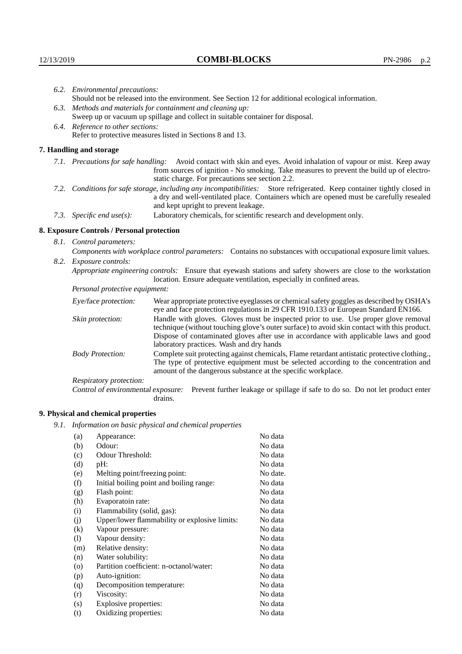Respiratory protection:

**9. Physical and chemical properties**

drains.

(a) Appearance: No data (b) Odour: No data (c) Odour Threshold: No data (d) pH: No data (e) Melting point/freezing point: No date. (f) Initial boiling point and boiling range: No data (g) Flash point: No data (h) Evaporatoin rate: No data (i) Flammability (solid, gas): No data (j) Upper/lower flammability or explosive limits: No data (k) Vapour pressure: No data (l) Vapour density: No data (m) Relative density: No data (n) Water solubility: No data (o) Partition coefficient: n-octanol/water: No data (p) Auto-ignition: No data (q) Decomposition temperature: No data (r) Viscosity: No data (s) Explosive properties: No data (t) Oxidizing properties: No data

*9.1. Information on basic physical and chemical properties*

| 6.2. Environmental precautions:                                                                                                                                                                                                                            |                                                                                                                                                                                                                                                                            |  |  |  |  |
|------------------------------------------------------------------------------------------------------------------------------------------------------------------------------------------------------------------------------------------------------------|----------------------------------------------------------------------------------------------------------------------------------------------------------------------------------------------------------------------------------------------------------------------------|--|--|--|--|
| Should not be released into the environment. See Section 12 for additional ecological information.                                                                                                                                                         |                                                                                                                                                                                                                                                                            |  |  |  |  |
| 6.3. Methods and materials for containment and cleaning up:                                                                                                                                                                                                |                                                                                                                                                                                                                                                                            |  |  |  |  |
| Sweep up or vacuum up spillage and collect in suitable container for disposal.                                                                                                                                                                             |                                                                                                                                                                                                                                                                            |  |  |  |  |
| 6.4. Reference to other sections:                                                                                                                                                                                                                          |                                                                                                                                                                                                                                                                            |  |  |  |  |
| Refer to protective measures listed in Sections 8 and 13.                                                                                                                                                                                                  |                                                                                                                                                                                                                                                                            |  |  |  |  |
| 7. Handling and storage                                                                                                                                                                                                                                    |                                                                                                                                                                                                                                                                            |  |  |  |  |
|                                                                                                                                                                                                                                                            | 7.1. Precautions for safe handling: Avoid contact with skin and eyes. Avoid inhalation of vapour or mist. Keep away<br>from sources of ignition - No smoking. Take measures to prevent the build up of electro-<br>static charge. For precautions see section 2.2.         |  |  |  |  |
| 7.2. Conditions for safe storage, including any incompatibilities: Store refrigerated. Keep container tightly closed in<br>a dry and well-ventilated place. Containers which are opened must be carefully resealed<br>and kept upright to prevent leakage. |                                                                                                                                                                                                                                                                            |  |  |  |  |
| 7.3. Specific end use(s):                                                                                                                                                                                                                                  | Laboratory chemicals, for scientific research and development only.                                                                                                                                                                                                        |  |  |  |  |
| 8. Exposure Controls / Personal protection                                                                                                                                                                                                                 |                                                                                                                                                                                                                                                                            |  |  |  |  |
| 8.1. Control parameters:                                                                                                                                                                                                                                   |                                                                                                                                                                                                                                                                            |  |  |  |  |
| Components with workplace control parameters: Contains no substances with occupational exposure limit values.                                                                                                                                              |                                                                                                                                                                                                                                                                            |  |  |  |  |
| 8.2. Exposure controls:                                                                                                                                                                                                                                    |                                                                                                                                                                                                                                                                            |  |  |  |  |
| Appropriate engineering controls: Ensure that eyewash stations and safety showers are close to the workstation<br>location. Ensure adequate ventilation, especially in confined areas.                                                                     |                                                                                                                                                                                                                                                                            |  |  |  |  |
| Personal protective equipment:                                                                                                                                                                                                                             |                                                                                                                                                                                                                                                                            |  |  |  |  |
| Eye/face protection:                                                                                                                                                                                                                                       | Wear appropriate protective eyeglasses or chemical safety goggles as described by OSHA's<br>eye and face protection regulations in 29 CFR 1910.133 or European Standard EN166.                                                                                             |  |  |  |  |
| Skin protection:                                                                                                                                                                                                                                           | Handle with gloves. Gloves must be inspected prior to use. Use proper glove removal<br>technique (without touching glove's outer surface) to avoid skin contact with this product.<br>Dispose of contaminated gloves after use in accordance with applicable laws and good |  |  |  |  |

laboratory practices. Wash and dry hands

Body Protection: Complete suit protecting against chemicals, Flame retardant antistatic protective clothing.,

amount of the dangerous substance at the specific workplace.

Control of environmental exposure: Prevent further leakage or spillage if safe to do so. Do not let product enter

The type of protective equipment must be selected according to the concentration and